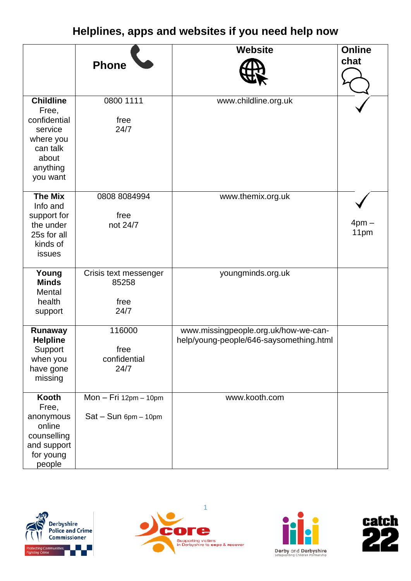## **Helplines, apps and websites if you need help now**

|                                                                                                                | <b>Phone</b>                                      | <b>Website</b>                                                                  | <b>Online</b><br>chat |
|----------------------------------------------------------------------------------------------------------------|---------------------------------------------------|---------------------------------------------------------------------------------|-----------------------|
| <b>Childline</b><br>Free,<br>confidential<br>service<br>where you<br>can talk<br>about<br>anything<br>you want | 0800 1111<br>free<br>24/7                         | www.childline.org.uk                                                            |                       |
| <b>The Mix</b><br>Info and<br>support for<br>the under<br>25s for all<br>kinds of<br>issues                    | 0808 8084994<br>free<br>not 24/7                  | www.themix.org.uk                                                               | $4pm -$<br>11pm       |
| Young<br><b>Minds</b><br>Mental<br>health<br>support                                                           | Crisis text messenger<br>85258<br>free<br>24/7    | youngminds.org.uk                                                               |                       |
| <b>Runaway</b><br><b>Helpline</b><br>Support<br>when you<br>have gone<br>missing                               | 116000<br>free<br>confidential<br>24/7            | www.missingpeople.org.uk/how-we-can-<br>help/young-people/646-saysomething.html |                       |
| Kooth<br>Free,<br>anonymous<br>online<br>counselling<br>and support<br>for young<br>people                     | $Mon - Fri 12pm - 10pm$<br>$Sat-Sun$ 6pm $-10$ pm | www.kooth.com                                                                   |                       |







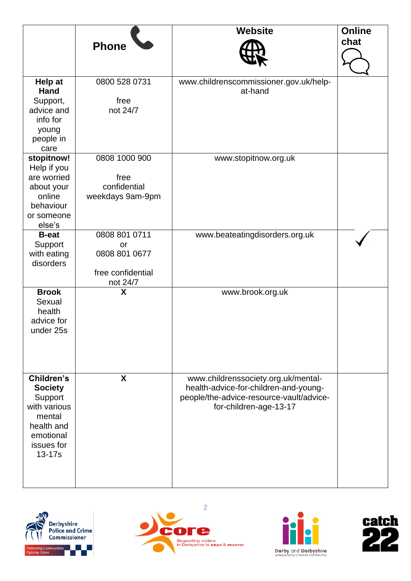|                                                                                                                      |                                                                       | <b>Website</b>                                                                                                                                     | <b>Online</b><br>chat |
|----------------------------------------------------------------------------------------------------------------------|-----------------------------------------------------------------------|----------------------------------------------------------------------------------------------------------------------------------------------------|-----------------------|
|                                                                                                                      | <b>Phone</b>                                                          |                                                                                                                                                    |                       |
| Help at<br><b>Hand</b><br>Support,<br>advice and<br>info for<br>young<br>people in<br>care                           | 0800 528 0731<br>free<br>not 24/7                                     | www.childrenscommissioner.gov.uk/help-<br>at-hand                                                                                                  |                       |
| stopitnow!<br>Help if you<br>are worried<br>about your<br>online<br>behaviour<br>or someone<br>else's                | 0808 1000 900<br>free<br>confidential<br>weekdays 9am-9pm             | www.stopitnow.org.uk                                                                                                                               |                       |
| <b>B-eat</b><br>Support<br>with eating<br>disorders                                                                  | 0808 801 0711<br>or<br>0808 801 0677<br>free confidential<br>not 24/7 | www.beateatingdisorders.org.uk                                                                                                                     |                       |
| <b>Brook</b><br>Sexual<br>health<br>advice for<br>under 25s                                                          | X                                                                     | www.brook.org.uk                                                                                                                                   |                       |
| Children's<br><b>Society</b><br>Support<br>with various<br>mental<br>health and<br>emotional<br>issues for<br>13-17s | X                                                                     | www.childrenssociety.org.uk/mental-<br>health-advice-for-children-and-young-<br>people/the-advice-resource-vault/advice-<br>for-children-age-13-17 |                       |







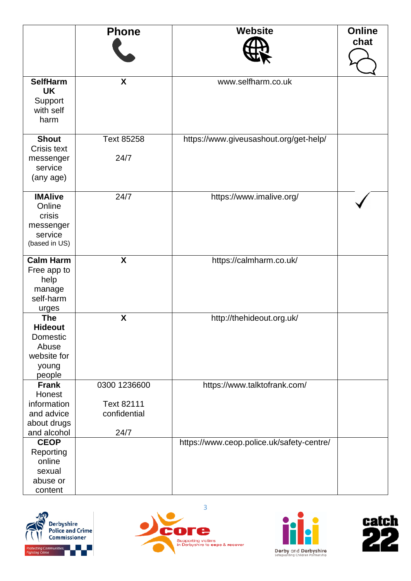|                                                                                     | <b>Phone</b>                                       | <b>Website</b>                            | <b>Online</b><br>chat |
|-------------------------------------------------------------------------------------|----------------------------------------------------|-------------------------------------------|-----------------------|
| <b>SelfHarm</b><br><b>UK</b><br>Support<br>with self<br>harm                        | X                                                  | www.selfharm.co.uk                        |                       |
| <b>Shout</b><br><b>Crisis text</b><br>messenger<br>service<br>(any age)             | <b>Text 85258</b><br>24/7                          | https://www.giveusashout.org/get-help/    |                       |
| <b>IMAlive</b><br>Online<br>crisis<br>messenger<br>service<br>(based in US)         | 24/7                                               | https://www.imalive.org/                  |                       |
| <b>Calm Harm</b><br>Free app to<br>help<br>manage<br>self-harm<br>urges             | $\boldsymbol{\mathsf{X}}$                          | https://calmharm.co.uk/                   |                       |
| <b>The</b><br><b>Hideout</b><br>Domestic<br>Abuse<br>website for<br>young<br>people | X                                                  | http://thehideout.org.uk/                 |                       |
| <b>Frank</b><br>Honest<br>information<br>and advice<br>about drugs<br>and alcohol   | 0300 1236600<br>Text 82111<br>confidential<br>24/7 | https://www.talktofrank.com/              |                       |
| <b>CEOP</b><br>Reporting<br>online<br>sexual<br>abuse or<br>content                 |                                                    | https://www.ceop.police.uk/safety-centre/ |                       |







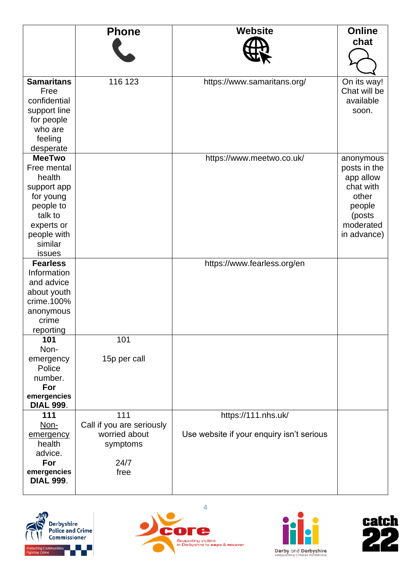|                                 | <b>Phone</b>              | <b>Website</b>                            | <b>Online</b> |
|---------------------------------|---------------------------|-------------------------------------------|---------------|
|                                 |                           |                                           | chat          |
|                                 |                           |                                           |               |
|                                 |                           |                                           |               |
|                                 |                           |                                           |               |
| <b>Samaritans</b>               | 116 123                   | https://www.samaritans.org/               | On its way!   |
| Free                            |                           |                                           | Chat will be  |
| confidential                    |                           |                                           | available     |
| support line                    |                           |                                           | soon.         |
| for people                      |                           |                                           |               |
| who are                         |                           |                                           |               |
| feeling                         |                           |                                           |               |
| desperate                       |                           |                                           |               |
| <b>MeeTwo</b>                   |                           | https://www.meetwo.co.uk/                 | anonymous     |
| Free mental                     |                           |                                           | posts in the  |
| health                          |                           |                                           | app allow     |
| support app                     |                           |                                           | chat with     |
| for young                       |                           |                                           | other         |
| people to                       |                           |                                           | people        |
| talk to                         |                           |                                           | (posts        |
| experts or                      |                           |                                           | moderated     |
| people with                     |                           |                                           | in advance)   |
| similar                         |                           |                                           |               |
| <b>issues</b>                   |                           |                                           |               |
| <b>Fearless</b>                 |                           | https://www.fearless.org/en               |               |
| Information                     |                           |                                           |               |
| and advice                      |                           |                                           |               |
| about youth                     |                           |                                           |               |
| crime.100%                      |                           |                                           |               |
| anonymous                       |                           |                                           |               |
| crime                           |                           |                                           |               |
| reporting                       |                           |                                           |               |
| 101                             | 101                       |                                           |               |
| Non-                            |                           |                                           |               |
| emergency                       | 15p per call              |                                           |               |
| Police                          |                           |                                           |               |
| number.                         |                           |                                           |               |
| For                             |                           |                                           |               |
| emergencies<br><b>DIAL 999.</b> |                           |                                           |               |
| 111                             | 111                       | https://111.nhs.uk/                       |               |
| Non-                            | Call if you are seriously |                                           |               |
|                                 | worried about             | Use website if your enquiry isn't serious |               |
| emergency<br>health             | symptoms                  |                                           |               |
| advice.                         |                           |                                           |               |
| For                             | 24/7                      |                                           |               |
| emergencies                     | free                      |                                           |               |
| <b>DIAL 999.</b>                |                           |                                           |               |
|                                 |                           |                                           |               |